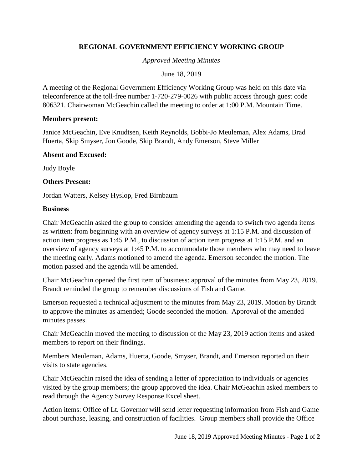# **REGIONAL GOVERNMENT EFFICIENCY WORKING GROUP**

*Approved Meeting Minutes*

June 18, 2019

A meeting of the Regional Government Efficiency Working Group was held on this date via teleconference at the toll-free number 1-720-279-0026 with public access through guest code 806321. Chairwoman McGeachin called the meeting to order at 1:00 P.M. Mountain Time.

### **Members present:**

Janice McGeachin, Eve Knudtsen, Keith Reynolds, Bobbi-Jo Meuleman, Alex Adams, Brad Huerta, Skip Smyser, Jon Goode, Skip Brandt, Andy Emerson, Steve Miller

### **Absent and Excused:**

Judy Boyle

### **Others Present:**

Jordan Watters, Kelsey Hyslop, Fred Birnbaum

### **Business**

Chair McGeachin asked the group to consider amending the agenda to switch two agenda items as written: from beginning with an overview of agency surveys at 1:15 P.M. and discussion of action item progress as 1:45 P.M., to discussion of action item progress at 1:15 P.M. and an overview of agency surveys at 1:45 P.M. to accommodate those members who may need to leave the meeting early. Adams motioned to amend the agenda. Emerson seconded the motion. The motion passed and the agenda will be amended.

Chair McGeachin opened the first item of business: approval of the minutes from May 23, 2019. Brandt reminded the group to remember discussions of Fish and Game.

Emerson requested a technical adjustment to the minutes from May 23, 2019. Motion by Brandt to approve the minutes as amended; Goode seconded the motion. Approval of the amended minutes passes.

Chair McGeachin moved the meeting to discussion of the May 23, 2019 action items and asked members to report on their findings.

Members Meuleman, Adams, Huerta, Goode, Smyser, Brandt, and Emerson reported on their visits to state agencies.

Chair McGeachin raised the idea of sending a letter of appreciation to individuals or agencies visited by the group members; the group approved the idea. Chair McGeachin asked members to read through the Agency Survey Response Excel sheet.

Action items: Office of Lt. Governor will send letter requesting information from Fish and Game about purchase, leasing, and construction of facilities. Group members shall provide the Office